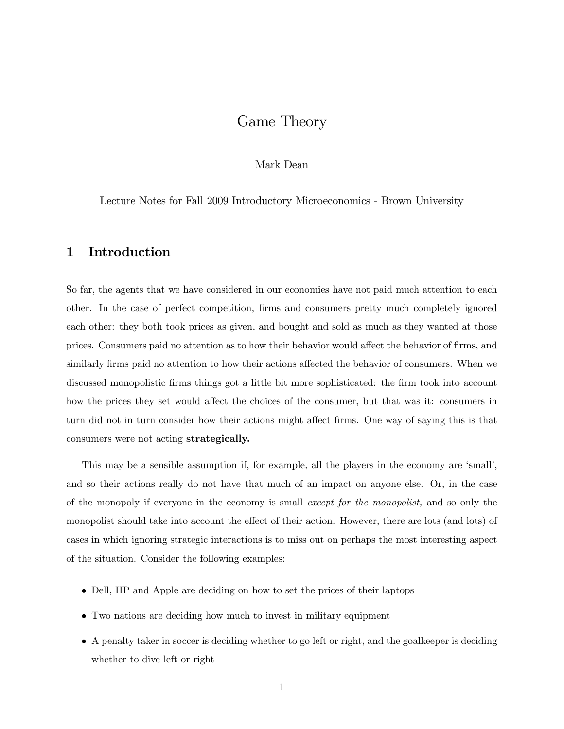# Game Theory

### Mark Dean

Lecture Notes for Fall 2009 Introductory Microeconomics - Brown University

### 1 Introduction

So far, the agents that we have considered in our economies have not paid much attention to each other. In the case of perfect competition, firms and consumers pretty much completely ignored each other: they both took prices as given, and bought and sold as much as they wanted at those prices. Consumers paid no attention as to how their behavior would affect the behavior of firms, and similarly firms paid no attention to how their actions affected the behavior of consumers. When we discussed monopolistic firms things got a little bit more sophisticated: the firm took into account how the prices they set would affect the choices of the consumer, but that was it: consumers in turn did not in turn consider how their actions might affect firms. One way of saying this is that consumers were not acting strategically.

This may be a sensible assumption if, for example, all the players in the economy are 'small', and so their actions really do not have that much of an impact on anyone else. Or, in the case of the monopoly if everyone in the economy is small except for the monopolist, and so only the monopolist should take into account the effect of their action. However, there are lots (and lots) of cases in which ignoring strategic interactions is to miss out on perhaps the most interesting aspect of the situation. Consider the following examples:

- Dell, HP and Apple are deciding on how to set the prices of their laptops
- Two nations are deciding how much to invest in military equipment
- A penalty taker in soccer is deciding whether to go left or right, and the goalkeeper is deciding whether to dive left or right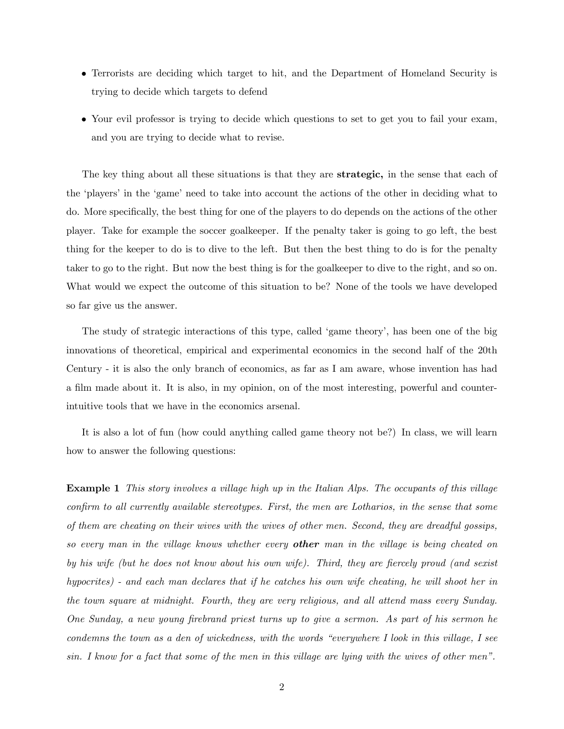- Terrorists are deciding which target to hit, and the Department of Homeland Security is trying to decide which targets to defend
- Your evil professor is trying to decide which questions to set to get you to fail your exam, and you are trying to decide what to revise.

The key thing about all these situations is that they are **strategic**, in the sense that each of the 'players' in the 'game' need to take into account the actions of the other in deciding what to do. More specifically, the best thing for one of the players to do depends on the actions of the other player. Take for example the soccer goalkeeper. If the penalty taker is going to go left, the best thing for the keeper to do is to dive to the left. But then the best thing to do is for the penalty taker to go to the right. But now the best thing is for the goalkeeper to dive to the right, and so on. What would we expect the outcome of this situation to be? None of the tools we have developed so far give us the answer.

The study of strategic interactions of this type, called 'game theory', has been one of the big innovations of theoretical, empirical and experimental economics in the second half of the 20th Century - it is also the only branch of economics, as far as I am aware, whose invention has had a film made about it. It is also, in my opinion, on of the most interesting, powerful and counterintuitive tools that we have in the economics arsenal.

It is also a lot of fun (how could anything called game theory not be?) In class, we will learn how to answer the following questions:

Example 1 This story involves a village high up in the Italian Alps. The occupants of this village confirm to all currently available stereotypes. First, the men are Lotharios, in the sense that some of them are cheating on their wives with the wives of other men. Second, they are dreadful gossips, so every man in the village knows whether every **other** man in the village is being cheated on by his wife (but he does not know about his own wife). Third, they are fiercely proud (and sexist hypocrites) - and each man declares that if he catches his own wife cheating, he will shoot her in the town square at midnight. Fourth, they are very religious, and all attend mass every Sunday. One Sunday, a new young firebrand priest turns up to give a sermon. As part of his sermon he condemns the town as a den of wickedness, with the words "everywhere I look in this village, I see sin. I know for a fact that some of the men in this village are lying with the wives of other men".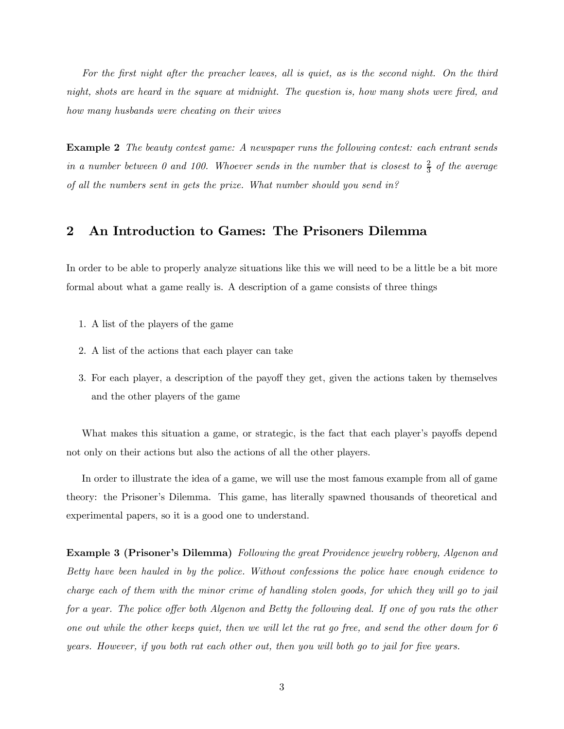For the first night after the preacher leaves, all is quiet, as is the second night. On the third night, shots are heard in the square at midnight. The question is, how many shots were fired, and how many husbands were cheating on their wives

Example 2 The beauty contest game: A newspaper runs the following contest: each entrant sends in a number between 0 and 100. Whoever sends in the number that is closest to  $\frac{2}{3}$  of the average of all the numbers sent in gets the prize. What number should you send in?

### 2 An Introduction to Games: The Prisoners Dilemma

In order to be able to properly analyze situations like this we will need to be a little be a bit more formal about what a game really is. A description of a game consists of three things

- 1. A list of the players of the game
- 2. A list of the actions that each player can take
- 3. For each player, a description of the payoff they get, given the actions taken by themselves and the other players of the game

What makes this situation a game, or strategic, is the fact that each player's payoffs depend not only on their actions but also the actions of all the other players.

In order to illustrate the idea of a game, we will use the most famous example from all of game theory: the Prisoner's Dilemma. This game, has literally spawned thousands of theoretical and experimental papers, so it is a good one to understand.

Example 3 (Prisoner's Dilemma) Following the great Providence jewelry robbery, Algenon and Betty have been hauled in by the police. Without confessions the police have enough evidence to charge each of them with the minor crime of handling stolen goods, for which they will go to jail for a year. The police offer both Algenon and Betty the following deal. If one of you rats the other one out while the other keeps quiet, then we will let the rat go free, and send the other down for 6 years. However, if you both rat each other out, then you will both go to jail for five years.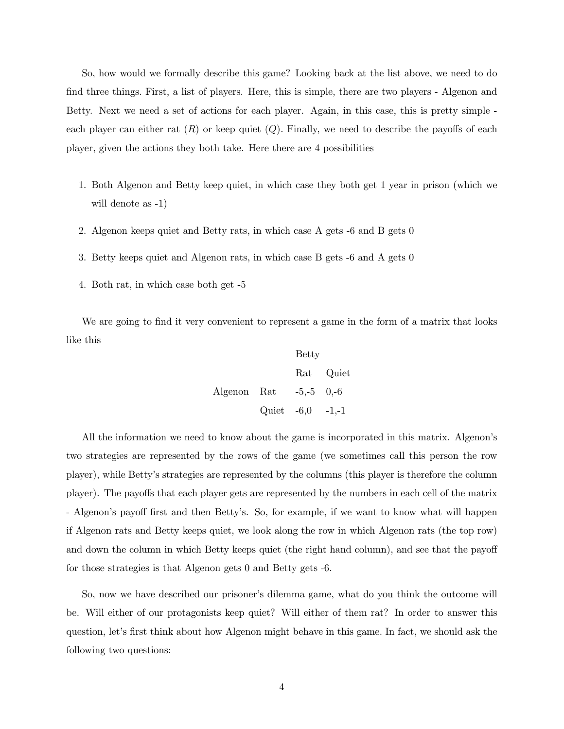So, how would we formally describe this game? Looking back at the list above, we need to do find three things. First, a list of players. Here, this is simple, there are two players - Algenon and Betty. Next we need a set of actions for each player. Again, in this case, this is pretty simple each player can either rat  $(R)$  or keep quiet  $(Q)$ . Finally, we need to describe the payoffs of each player, given the actions they both take. Here there are 4 possibilities

- 1. Both Algenon and Betty keep quiet, in which case they both get 1 year in prison (which we will denote as -1)
- 2. Algenon keeps quiet and Betty rats, in which case A gets -6 and B gets 0
- 3. Betty keeps quiet and Algenon rats, in which case B gets -6 and A gets 0
- 4. Both rat, in which case both get -5

We are going to find it very convenient to represent a game in the form of a matrix that looks like this

 $D_{\alpha+1}$ 

Let 
$$
Q
$$
 is the equation  $Q$  is the equation  $Q$  is the equation  $Q$  is the equation  $Q$  is the equation  $Q$  is the equation  $Q$  is the equation  $Q$  is the equation  $Q$  is the equation  $Q$  is the equation  $Q$  is the equation  $Q$  is the equation  $Q$  is the equation  $Q$  is the equation  $Q$  is the equation  $Q$  is the equation  $Q$  is the equation  $Q$  is the equation  $Q$  is the equation  $Q$  is the equation  $Q$  is the equation  $Q$  is the equation  $Q$  is the equation  $Q$  is the equation  $Q$  is the equation  $Q$  is the equation  $Q$  is the equation  $Q$  is the equation  $Q$  is the equation  $Q$  is the equation  $Q$  is the equation  $Q$  is the equation  $Q$  is the equation  $Q$  is the equation  $Q$  is the equation  $Q$  is the equation  $Q$  is the equation  $Q$  is the equation  $Q$  is the equation  $Q$  is the equation  $Q$  is the equation  $Q$  is the equation  $Q$  is the equation  $Q$  is the equation  $Q$  is the equation  $Q$  is the equation  $Q$  is the equation  $Q$  is the equation  $Q$  is the equation  $Q$  is the equation  $Q$  is the equation  $Q$  is the equation  $Q$  is the equation  $Q$  is the equation  $Q$  is the equation  $Q$  is the equation  $Q$  is the equation  $Q$  is the equation  $Q$  is the equation  $Q$  is the equation  $Q$  is the equation  $Q$  is the equation  $Q$  is the equation  $Q$  is the equation  $Q$  is the equation  $Q$  is the equation  $Q$  is the equation  $Q$  is the equation  $Q$  is the equation  $Q$  is the equation  $Q$  is the equation  $Q$  is the equation  $Q$  is the equation  $Q$  is the equation  $Q$  is the equation  $Q$  is the equation 

All the information we need to know about the game is incorporated in this matrix. Algenon's two strategies are represented by the rows of the game (we sometimes call this person the row player), while Betty's strategies are represented by the columns (this player is therefore the column player). The payoffs that each player gets are represented by the numbers in each cell of the matrix - Algenon's payoff first and then Betty's. So, for example, if we want to know what will happen if Algenon rats and Betty keeps quiet, we look along the row in which Algenon rats (the top row) and down the column in which Betty keeps quiet (the right hand column), and see that the payoff for those strategies is that Algenon gets 0 and Betty gets -6.

So, now we have described our prisoner's dilemma game, what do you think the outcome will be. Will either of our protagonists keep quiet? Will either of them rat? In order to answer this question, let's first think about how Algenon might behave in this game. In fact, we should ask the following two questions: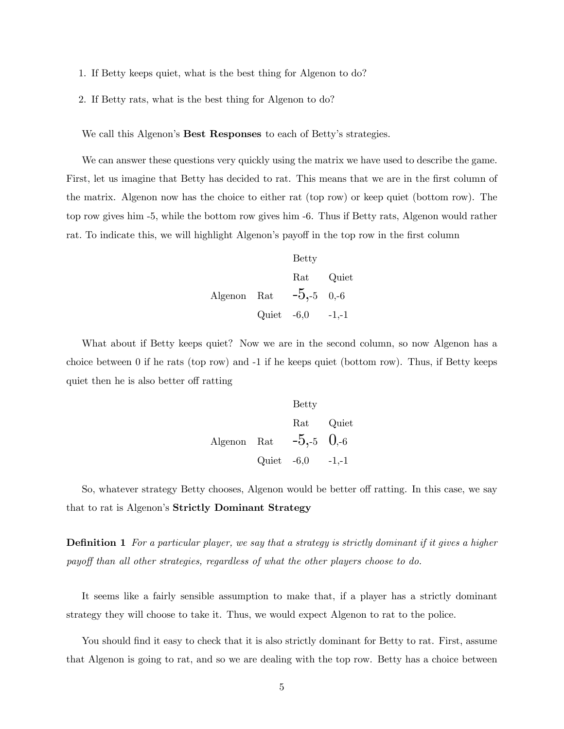- 1. If Betty keeps quiet, what is the best thing for Algenon to do?
- 2. If Betty rats, what is the best thing for Algenon to do?

We call this Algenon's Best Responses to each of Betty's strategies.

We can answer these questions very quickly using the matrix we have used to describe the game. First, let us imagine that Betty has decided to rat. This means that we are in the first column of the matrix. Algenon now has the choice to either rat (top row) or keep quiet (bottom row). The top row gives him -5, while the bottom row gives him -6. Thus if Betty rats, Algenon would rather rat. To indicate this, we will highlight Algenon's payoff in the top row in the first column

 Betty

\nRat Quiet

\nAlgenon Rat 
$$
-5, -5
$$
 0, -6

\nQuiet  $-6, 0$  -1, -1

What about if Betty keeps quiet? Now we are in the second column, so now Algenon has a choice between 0 if he rats (top row) and -1 if he keeps quiet (bottom row). Thus, if Betty keeps quiet then he is also better off ratting

 Betty

\nRat Quiet

\nAlgenon Rat 
$$
-5, -5
$$
  $0, -6$ 

\nQuiet  $-6, 0$   $-1, -1$ 

So, whatever strategy Betty chooses, Algenon would be better off ratting. In this case, we say that to rat is Algenon's Strictly Dominant Strategy

**Definition 1** For a particular player, we say that a strategy is strictly dominant if it gives a higher payoff than all other strategies, regardless of what the other players choose to do.

It seems like a fairly sensible assumption to make that, if a player has a strictly dominant strategy they will choose to take it. Thus, we would expect Algenon to rat to the police.

You should find it easy to check that it is also strictly dominant for Betty to rat. First, assume that Algenon is going to rat, and so we are dealing with the top row. Betty has a choice between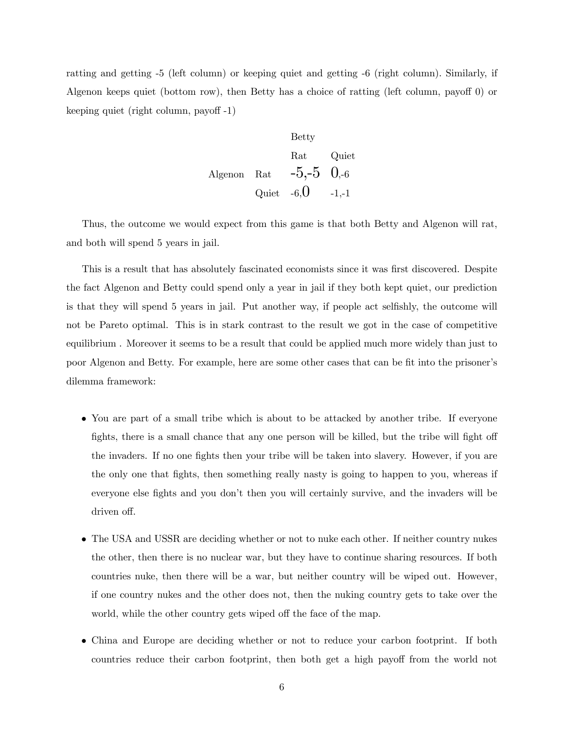ratting and getting -5 (left column) or keeping quiet and getting -6 (right column). Similarly, if Algenon keeps quiet (bottom row), then Betty has a choice of ratting (left column, payoff 0) or keeping quiet (right column, payoff -1)

 Betty

\nRat Quiet

\nAlgenon Rat 
$$
-5, -5
$$
  $0, -6$ 

\nQuiet  $-6, 0$   $-1, -1$ 

Thus, the outcome we would expect from this game is that both Betty and Algenon will rat, and both will spend 5 years in jail.

This is a result that has absolutely fascinated economists since it was first discovered. Despite the fact Algenon and Betty could spend only a year in jail if they both kept quiet, our prediction is that they will spend 5 years in jail. Put another way, if people act selfishly, the outcome will not be Pareto optimal. This is in stark contrast to the result we got in the case of competitive equilibrium . Moreover it seems to be a result that could be applied much more widely than just to poor Algenon and Betty. For example, here are some other cases that can be fit into the prisoner's dilemma framework:

- You are part of a small tribe which is about to be attacked by another tribe. If everyone fights, there is a small chance that any one person will be killed, but the tribe will fight off the invaders. If no one fights then your tribe will be taken into slavery. However, if you are the only one that fights, then something really nasty is going to happen to you, whereas if everyone else fights and you don't then you will certainly survive, and the invaders will be driven off.
- The USA and USSR are deciding whether or not to nuke each other. If neither country nukes the other, then there is no nuclear war, but they have to continue sharing resources. If both countries nuke, then there will be a war, but neither country will be wiped out. However, if one country nukes and the other does not, then the nuking country gets to take over the world, while the other country gets wiped off the face of the map.
- China and Europe are deciding whether or not to reduce your carbon footprint. If both countries reduce their carbon footprint, then both get a high payoff from the world not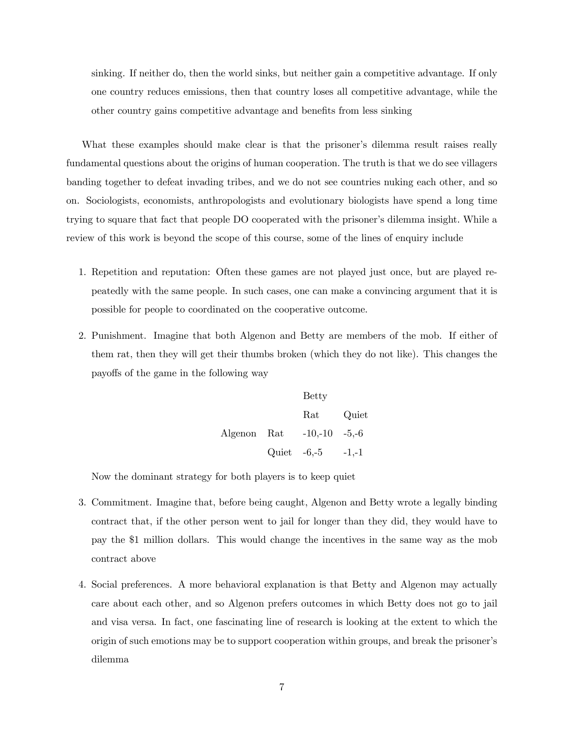sinking. If neither do, then the world sinks, but neither gain a competitive advantage. If only one country reduces emissions, then that country loses all competitive advantage, while the other country gains competitive advantage and benefits from less sinking

What these examples should make clear is that the prisoner's dilemma result raises really fundamental questions about the origins of human cooperation. The truth is that we do see villagers banding together to defeat invading tribes, and we do not see countries nuking each other, and so on. Sociologists, economists, anthropologists and evolutionary biologists have spend a long time trying to square that fact that people DO cooperated with the prisoner's dilemma insight. While a review of this work is beyond the scope of this course, some of the lines of enquiry include

- 1. Repetition and reputation: Often these games are not played just once, but are played repeatedly with the same people. In such cases, one can make a convincing argument that it is possible for people to coordinated on the cooperative outcome.
- 2. Punishment. Imagine that both Algenon and Betty are members of the mob. If either of them rat, then they will get their thumbs broken (which they do not like). This changes the payoffs of the game in the following way

Betty Rat Quiet Algenon Rat -10,-10 -5,-6 Quiet -6,-5 -1,-1

Now the dominant strategy for both players is to keep quiet

- 3. Commitment. Imagine that, before being caught, Algenon and Betty wrote a legally binding contract that, if the other person went to jail for longer than they did, they would have to pay the \$1 million dollars. This would change the incentives in the same way as the mob contract above
- 4. Social preferences. A more behavioral explanation is that Betty and Algenon may actually care about each other, and so Algenon prefers outcomes in which Betty does not go to jail and visa versa. In fact, one fascinating line of research is looking at the extent to which the origin of such emotions may be to support cooperation within groups, and break the prisoner's dilemma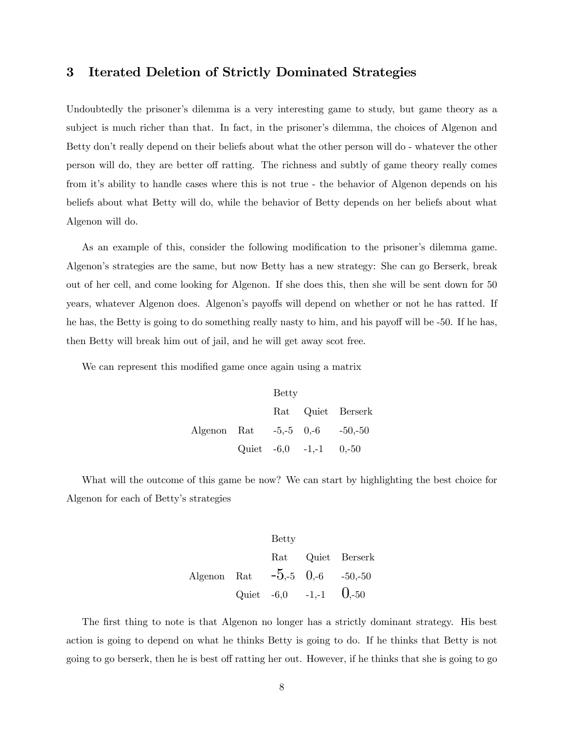# 3 Iterated Deletion of Strictly Dominated Strategies

Undoubtedly the prisoner's dilemma is a very interesting game to study, but game theory as a subject is much richer than that. In fact, in the prisoner's dilemma, the choices of Algenon and Betty don't really depend on their beliefs about what the other person will do - whatever the other person will do, they are better off ratting. The richness and subtly of game theory really comes from it's ability to handle cases where this is not true - the behavior of Algenon depends on his beliefs about what Betty will do, while the behavior of Betty depends on her beliefs about what Algenon will do.

As an example of this, consider the following modification to the prisoner's dilemma game. Algenon's strategies are the same, but now Betty has a new strategy: She can go Berserk, break out of her cell, and come looking for Algenon. If she does this, then she will be sent down for 50 years, whatever Algenon does. Algenon's payoffs will depend on whether or not he has ratted. If he has, the Betty is going to do something really nasty to him, and his payoff will be -50. If he has, then Betty will break him out of jail, and he will get away scot free.

We can represent this modified game once again using a matrix

|                                    | <b>Betty</b> |                              |                   |
|------------------------------------|--------------|------------------------------|-------------------|
|                                    |              |                              | Rat Quiet Berserk |
| Algenon Rat $-5,-5$ 0,-6 $-50,-50$ |              |                              |                   |
|                                    |              | Quiet $-6,0$ $-1,-1$ $0,-50$ |                   |

What will the outcome of this game be now? We can start by highlighting the best choice for Algenon for each of Betty's strategies

$$
\begin{tabular}{lcccc}\n & & \text{Betty} & \\ \n & & \text{Rat} & \text{Quiet} & \text{Berserk} \\
\text{Algenon} & \text{Rat} & -5,-5 & 0,-6 & -50,-50 \\
\text{Quiet} & -6,0 & -1,-1 & 0,-50\n\end{tabular}
$$

The first thing to note is that Algenon no longer has a strictly dominant strategy. His best action is going to depend on what he thinks Betty is going to do. If he thinks that Betty is not going to go berserk, then he is best off ratting her out. However, if he thinks that she is going to go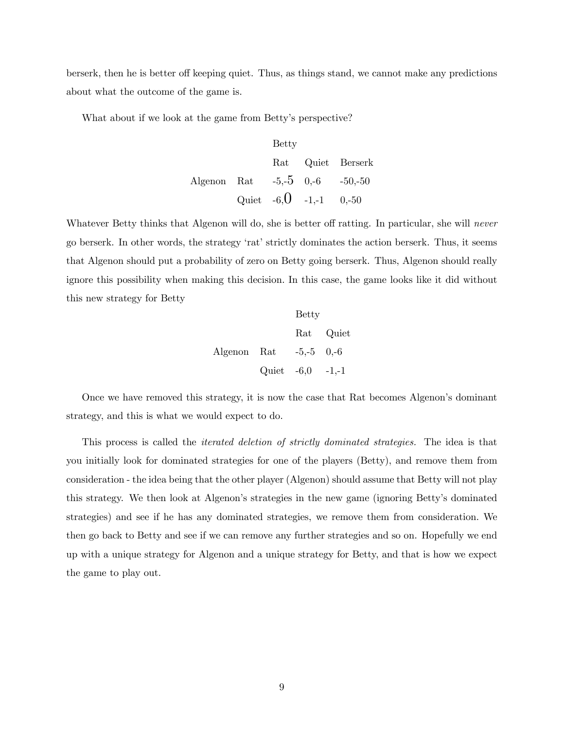berserk, then he is better off keeping quiet. Thus, as things stand, we cannot make any predictions about what the outcome of the game is.

What about if we look at the game from Betty's perspective?

$$
\begin{tabular}{lcccc} Betty & & & & \hbox{D}} \\ \hline \text{Rat} & \text{Quiet} & \text{Berserk} \\ Algorithm & \text{Rat} & -5,-5 & 0,-6 & -50,-50 \\ \text{Quiet} & -6,\text{O} & -1,-1 & 0,-50 \\ \end{tabular}
$$

Whatever Betty thinks that Algenon will do, she is better off ratting. In particular, she will never go berserk. In other words, the strategy 'rat' strictly dominates the action berserk. Thus, it seems that Algenon should put a probability of zero on Betty going berserk. Thus, Algenon should really ignore this possibility when making this decision. In this case, the game looks like it did without this new strategy for Betty

|                          | <b>Betty</b>         |           |
|--------------------------|----------------------|-----------|
|                          |                      | Rat Quiet |
| Algenon Rat $-5,-5$ 0,-6 |                      |           |
|                          | Quiet $-6,0$ $-1,-1$ |           |

Once we have removed this strategy, it is now the case that Rat becomes Algenon's dominant strategy, and this is what we would expect to do.

This process is called the *iterated deletion of strictly dominated strategies*. The idea is that you initially look for dominated strategies for one of the players (Betty), and remove them from consideration - the idea being that the other player (Algenon) should assume that Betty will not play this strategy. We then look at Algenon's strategies in the new game (ignoring Betty's dominated strategies) and see if he has any dominated strategies, we remove them from consideration. We then go back to Betty and see if we can remove any further strategies and so on. Hopefully we end up with a unique strategy for Algenon and a unique strategy for Betty, and that is how we expect the game to play out.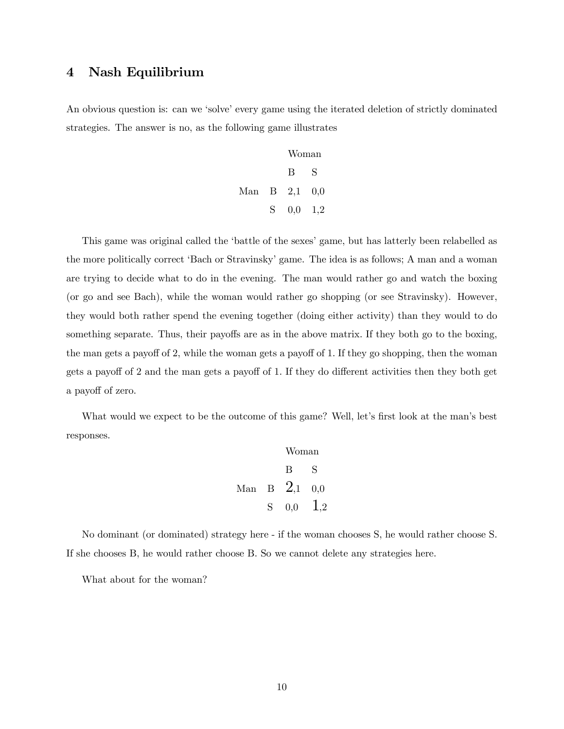# 4 Nash Equilibrium

An obvious question is: can we 'solve' every game using the iterated deletion of strictly dominated strategies. The answer is no, as the following game illustrates

|               | Woman               |   |
|---------------|---------------------|---|
|               | $\mathbf{B}$        | S |
| Man B 2,1 0,0 |                     |   |
|               | $S = 0,0 \quad 1,2$ |   |

This game was original called the 'battle of the sexes' game, but has latterly been relabelled as the more politically correct 'Bach or Stravinsky' game. The idea is as follows; A man and a woman are trying to decide what to do in the evening. The man would rather go and watch the boxing (or go and see Bach), while the woman would rather go shopping (or see Stravinsky). However, they would both rather spend the evening together (doing either activity) than they would to do something separate. Thus, their payoffs are as in the above matrix. If they both go to the boxing, the man gets a payoff of 2, while the woman gets a payoff of 1. If they go shopping, then the woman gets a payoff of 2 and the man gets a payoff of 1. If they do different activities then they both get a payoff of zero.

What would we expect to be the outcome of this game? Well, let's first look at the man's best responses.

Woman B S Man B 2,1 0,0 S 0,0 1,2

No dominant (or dominated) strategy here - if the woman chooses S, he would rather choose S. If she chooses B, he would rather choose B. So we cannot delete any strategies here.

What about for the woman?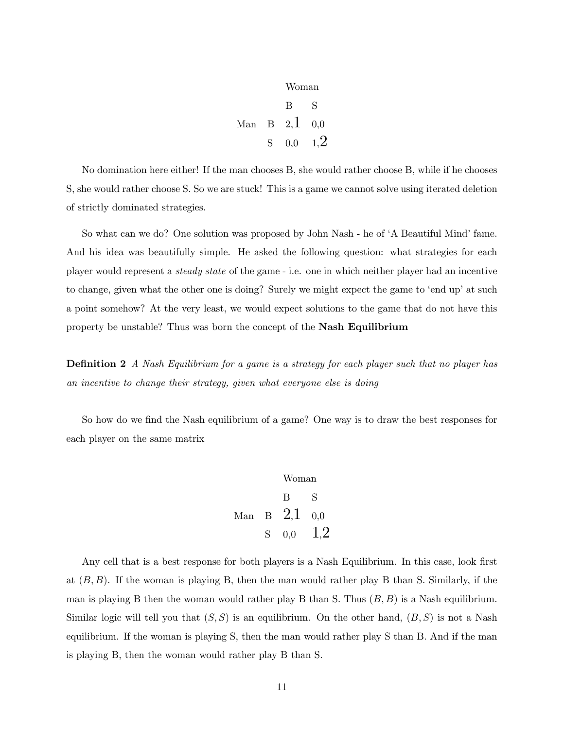|    | Woman                      |     |
|----|----------------------------|-----|
|    | B                          | S   |
|    | Man B $2,\overline{1}$ 0,0 |     |
| S. | 0,0                        | 1.2 |

No domination here either! If the man chooses B, she would rather choose B, while if he chooses S, she would rather choose S. So we are stuck! This is a game we cannot solve using iterated deletion of strictly dominated strategies.

So what can we do? One solution was proposed by John Nash - he of 'A Beautiful Mind' fame. And his idea was beautifully simple. He asked the following question: what strategies for each player would represent a steady state of the game - i.e. one in which neither player had an incentive to change, given what the other one is doing? Surely we might expect the game to 'end up' at such a point somehow? At the very least, we would expect solutions to the game that do not have this property be unstable? Thus was born the concept of the Nash Equilibrium

**Definition 2** A Nash Equilibrium for a game is a strategy for each player such that no player has an incentive to change their strategy, given what everyone else is doing

So how do we find the Nash equilibrium of a game? One way is to draw the best responses for each player on the same matrix

Woman B S Man B 2,1 0,0 S 0,0 1,2

Any cell that is a best response for both players is a Nash Equilibrium. In this case, look first at  $(B, B)$ . If the woman is playing B, then the man would rather play B than S. Similarly, if the man is playing B then the woman would rather play B than S. Thus  $(B, B)$  is a Nash equilibrium. Similar logic will tell you that  $(S, S)$  is an equilibrium. On the other hand,  $(B, S)$  is not a Nash equilibrium. If the woman is playing S, then the man would rather play S than B. And if the man is playing B, then the woman would rather play B than S.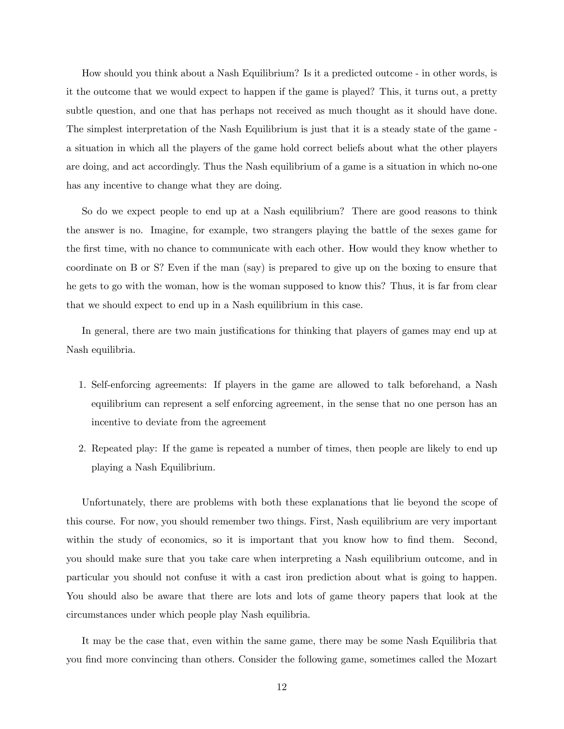How should you think about a Nash Equilibrium? Is it a predicted outcome - in other words, is it the outcome that we would expect to happen if the game is played? This, it turns out, a pretty subtle question, and one that has perhaps not received as much thought as it should have done. The simplest interpretation of the Nash Equilibrium is just that it is a steady state of the game a situation in which all the players of the game hold correct beliefs about what the other players are doing, and act accordingly. Thus the Nash equilibrium of a game is a situation in which no-one has any incentive to change what they are doing.

So do we expect people to end up at a Nash equilibrium? There are good reasons to think the answer is no. Imagine, for example, two strangers playing the battle of the sexes game for the first time, with no chance to communicate with each other. How would they know whether to coordinate on B or S? Even if the man (say) is prepared to give up on the boxing to ensure that he gets to go with the woman, how is the woman supposed to know this? Thus, it is far from clear that we should expect to end up in a Nash equilibrium in this case.

In general, there are two main justifications for thinking that players of games may end up at Nash equilibria.

- 1. Self-enforcing agreements: If players in the game are allowed to talk beforehand, a Nash equilibrium can represent a self enforcing agreement, in the sense that no one person has an incentive to deviate from the agreement
- 2. Repeated play: If the game is repeated a number of times, then people are likely to end up playing a Nash Equilibrium.

Unfortunately, there are problems with both these explanations that lie beyond the scope of this course. For now, you should remember two things. First, Nash equilibrium are very important within the study of economics, so it is important that you know how to find them. Second, you should make sure that you take care when interpreting a Nash equilibrium outcome, and in particular you should not confuse it with a cast iron prediction about what is going to happen. You should also be aware that there are lots and lots of game theory papers that look at the circumstances under which people play Nash equilibria.

It may be the case that, even within the same game, there may be some Nash Equilibria that you find more convincing than others. Consider the following game, sometimes called the Mozart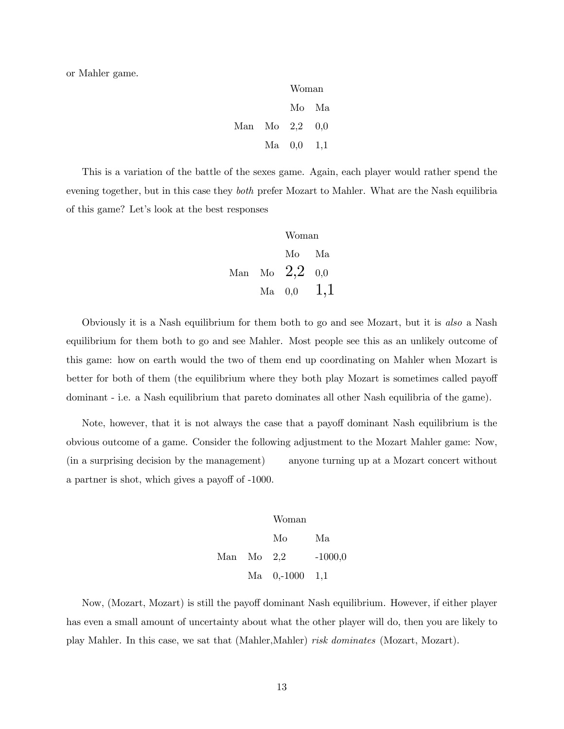or Mahler game.

|                | Woman        |       |
|----------------|--------------|-------|
|                |              | Mo Ma |
| Man Mo 2,2 0,0 |              |       |
|                | $Ma$ 0,0 1,1 |       |

This is a variation of the battle of the sexes game. Again, each player would rather spend the evening together, but in this case they *both* prefer Mozart to Mahler. What are the Nash equilibria of this game? Let's look at the best responses

Woman

\nMo Ma

\nMan Mo

\n
$$
2,2
$$
\n $0,0$ \n $0,0$ \n $1,1$ 

Obviously it is a Nash equilibrium for them both to go and see Mozart, but it is also a Nash equilibrium for them both to go and see Mahler. Most people see this as an unlikely outcome of this game: how on earth would the two of them end up coordinating on Mahler when Mozart is better for both of them (the equilibrium where they both play Mozart is sometimes called payoff dominant - i.e. a Nash equilibrium that pareto dominates all other Nash equilibria of the game).

Note, however, that it is not always the case that a payoff dominant Nash equilibrium is the obvious outcome of a game. Consider the following adjustment to the Mozart Mahler game: Now, (in a surprising decision by the management) anyone turning up at a Mozart concert without a partner is shot, which gives a payoff of -1000.

> Woman Mo Ma Man Mo 2,2 -1000,0 Ma 0,-1000 1,1

Now, (Mozart, Mozart) is still the payoff dominant Nash equilibrium. However, if either player has even a small amount of uncertainty about what the other player will do, then you are likely to play Mahler. In this case, we sat that (Mahler,Mahler) risk dominates (Mozart, Mozart).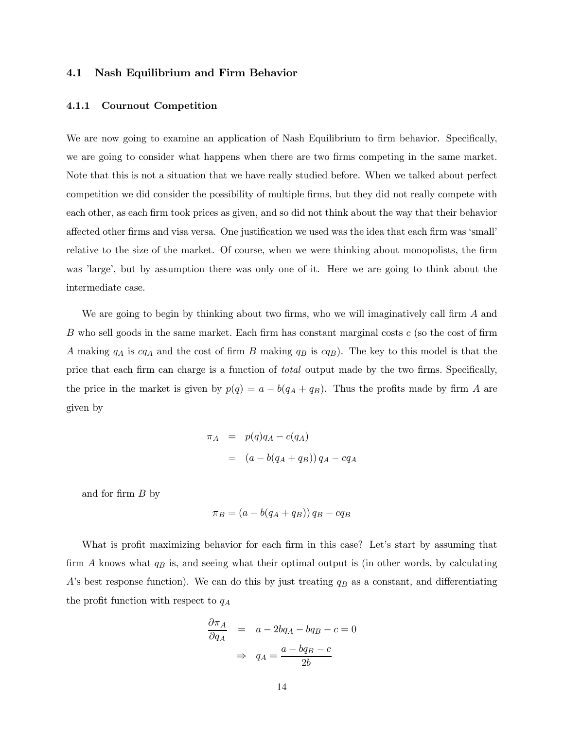### 4.1 Nash Equilibrium and Firm Behavior

#### 4.1.1 Cournout Competition

We are now going to examine an application of Nash Equilibrium to firm behavior. Specifically, we are going to consider what happens when there are two firms competing in the same market. Note that this is not a situation that we have really studied before. When we talked about perfect competition we did consider the possibility of multiple firms, but they did not really compete with each other, as each firm took prices as given, and so did not think about the way that their behavior affected other firms and visa versa. One justification we used was the idea that each firm was 'small' relative to the size of the market. Of course, when we were thinking about monopolists, the firm was 'large', but by assumption there was only one of it. Here we are going to think about the intermediate case.

We are going to begin by thinking about two firms, who we will imaginatively call firm  $A$  and  $B$  who sell goods in the same market. Each firm has constant marginal costs  $c$  (so the cost of firm A making  $q_A$  is  $cq_A$  and the cost of firm B making  $q_B$  is  $cq_B$ ). The key to this model is that the price that each firm can charge is a function of total output made by the two firms. Specifically, the price in the market is given by  $p(q) = a - b(q_A + q_B)$ . Thus the profits made by firm A are given by

$$
\pi_A = p(q)q_A - c(q_A)
$$
  
= 
$$
(a - b(q_A + q_B)) q_A - c q_A
$$

and for firm  $B$  by

$$
\pi_B = (a - b(q_A + q_B)) q_B - cq_B
$$

What is profit maximizing behavior for each firm in this case? Let's start by assuming that firm  $A$  knows what  $q_B$  is, and seeing what their optimal output is (in other words, by calculating A's best response function). We can do this by just treating  $q_B$  as a constant, and differentiating the profit function with respect to  $q_A$ 

$$
\frac{\partial \pi_A}{\partial q_A} = a - 2bq_A - bq_B - c = 0
$$

$$
\Rightarrow q_A = \frac{a - bq_B - c}{2b}
$$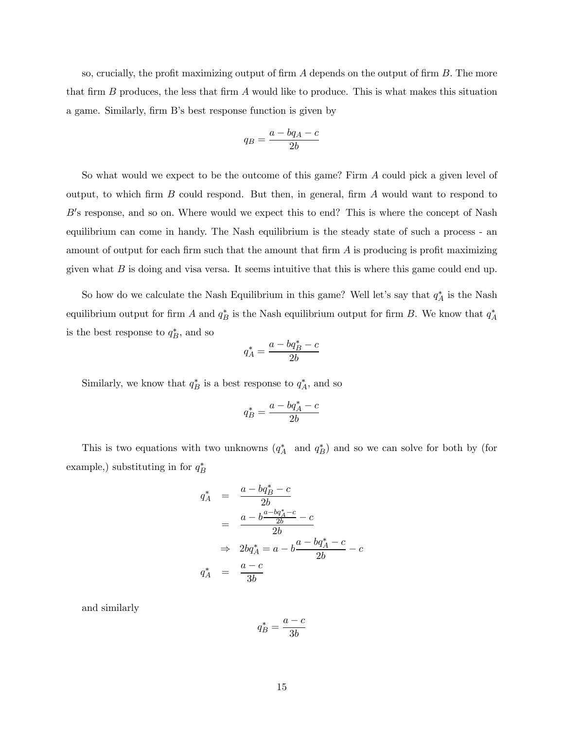so, crucially, the profit maximizing output of firm  $A$  depends on the output of firm  $B$ . The more that firm  $B$  produces, the less that firm  $A$  would like to produce. This is what makes this situation a game. Similarly, firm B's best response function is given by

$$
q_B = \frac{a - bq_A - c}{2b}
$$

So what would we expect to be the outcome of this game? Firm  $A$  could pick a given level of output, to which firm  $B$  could respond. But then, in general, firm  $A$  would want to respond to B's response, and so on. Where would we expect this to end? This is where the concept of Nash equilibrium can come in handy. The Nash equilibrium is the steady state of such a process - an amount of output for each firm such that the amount that firm  $A$  is producing is profit maximizing given what  $B$  is doing and visa versa. It seems intuitive that this is where this game could end up.

So how do we calculate the Nash Equilibrium in this game? Well let's say that  $q_A^*$  is the Nash equilibrium output for firm A and  $q_B^*$  is the Nash equilibrium output for firm B. We know that  $q_A^*$ is the best response to  $q_B^*$ , and so

$$
q_A^* = \frac{a - bq_B^* - c}{2b}
$$

Similarly, we know that  $q_B^*$  is a best response to  $q_A^*$ , and so

$$
q_B^* = \frac{a - bq_A^* - c}{2b}
$$

This is two equations with two unknowns  $(q_A^*$  and  $q_B^*$ ) and so we can solve for both by (for example,) substituting in for  $q_B^*$ 

$$
q_A^* = \frac{a - bq_B^* - c}{2b}
$$
  
= 
$$
\frac{a - b\frac{a - bq_A^* - c}{2b} - c}{2b}
$$
  

$$
\Rightarrow 2bq_A^* = a - b\frac{a - bq_A^* - c}{2b} - c
$$
  

$$
q_A^* = \frac{a - c}{3b}
$$

and similarly

$$
q_B^* = \frac{a - c}{3b}
$$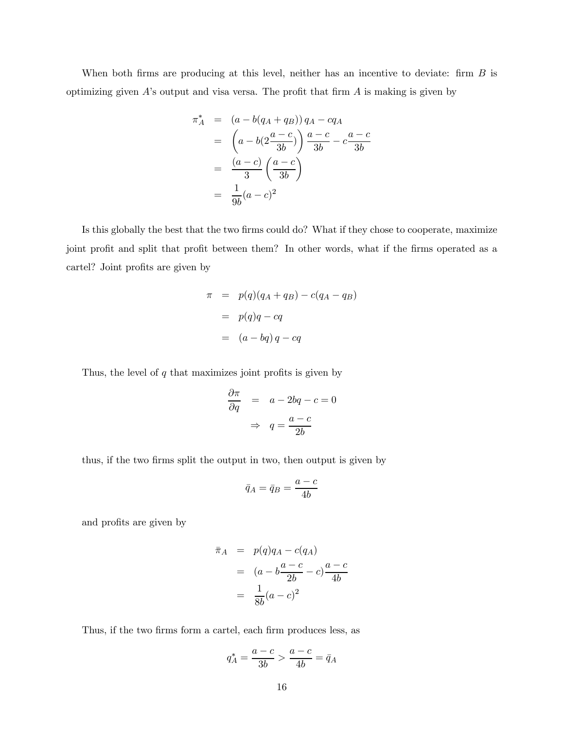When both firms are producing at this level, neither has an incentive to deviate: firm  $B$  is optimizing given  $A$ 's output and visa versa. The profit that firm  $A$  is making is given by

$$
\pi_A^* = (a - b(q_A + q_B)) q_A - c q_A \n= \left( a - b(2\frac{a - c}{3b}) \right) \frac{a - c}{3b} - c \frac{a - c}{3b} \n= \frac{(a - c)}{3} \left( \frac{a - c}{3b} \right) \n= \frac{1}{9b} (a - c)^2
$$

Is this globally the best that the two firms could do? What if they chose to cooperate, maximize joint profit and split that profit between them? In other words, what if the firms operated as a cartel? Joint profits are given by

$$
\pi = p(q)(q_A + q_B) - c(q_A - q_B)
$$

$$
= p(q)q - cq
$$

$$
= (a - bq)q - cq
$$

Thus, the level of  $q$  that maximizes joint profits is given by

$$
\frac{\partial \pi}{\partial q} = a - 2bq - c = 0
$$

$$
\Rightarrow q = \frac{a - c}{2b}
$$

thus, if the two firms split the output in two, then output is given by

$$
\bar{q}_A = \bar{q}_B = \frac{a-c}{4b}
$$

and profits are given by

$$
\begin{array}{rcl}\n\bar{\pi}_A & = & p(q)q_A - c(q_A) \\
& = & (a - b\frac{a - c}{2b} - c)\frac{a - c}{4b} \\
& = & \frac{1}{8b}(a - c)^2\n\end{array}
$$

Thus, if the two firms form a cartel, each firm produces less, as

$$
q^*_A=\frac{a-c}{3b}>\frac{a-c}{4b}=\bar{q}_A
$$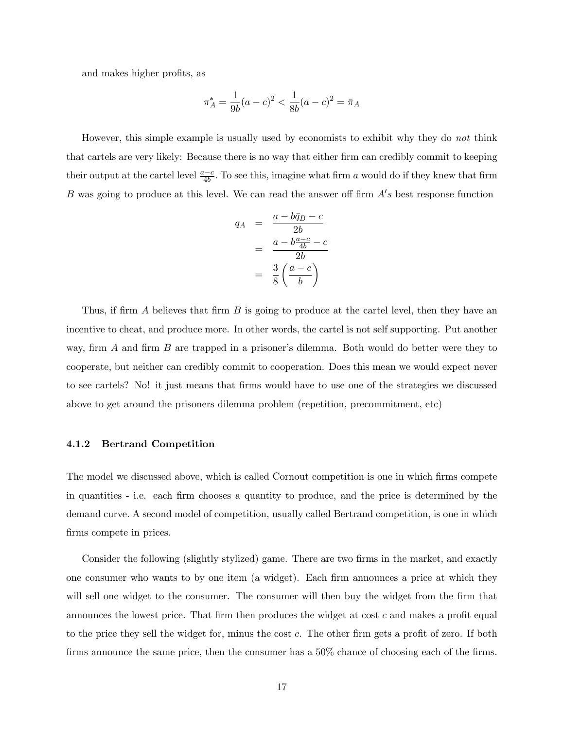and makes higher profits, as

$$
\pi_A^* = \frac{1}{9b}(a-c)^2 < \frac{1}{8b}(a-c)^2 = \bar{\pi}_A
$$

However, this simple example is usually used by economists to exhibit why they do not think that cartels are very likely: Because there is no way that either firm can credibly commit to keeping their output at the cartel level  $\frac{a-c}{4b}$ . To see this, imagine what firm a would do if they knew that firm B was going to produce at this level. We can read the answer off firm  $A's$  best response function

$$
q_A = \frac{a - b\bar{q}_B - c}{2b}
$$
  
= 
$$
\frac{a - b\frac{a - c}{4b} - c}{2b}
$$
  
= 
$$
\frac{3}{8} \left(\frac{a - c}{b}\right)
$$

Thus, if firm A believes that firm  $B$  is going to produce at the cartel level, then they have an incentive to cheat, and produce more. In other words, the cartel is not self supporting. Put another way, firm  $A$  and firm  $B$  are trapped in a prisoner's dilemma. Both would do better were they to cooperate, but neither can credibly commit to cooperation. Does this mean we would expect never to see cartels? No! it just means that firms would have to use one of the strategies we discussed above to get around the prisoners dilemma problem (repetition, precommitment, etc)

#### 4.1.2 Bertrand Competition

The model we discussed above, which is called Cornout competition is one in which firms compete in quantities - i.e. each firm chooses a quantity to produce, and the price is determined by the demand curve. A second model of competition, usually called Bertrand competition, is one in which firms compete in prices.

Consider the following (slightly stylized) game. There are two firms in the market, and exactly one consumer who wants to by one item (a widget). Each firm announces a price at which they will sell one widget to the consumer. The consumer will then buy the widget from the firm that announces the lowest price. That firm then produces the widget at cost  $c$  and makes a profit equal to the price they sell the widget for, minus the cost c. The other firm gets a profit of zero. If both firms announce the same price, then the consumer has a 50% chance of choosing each of the firms.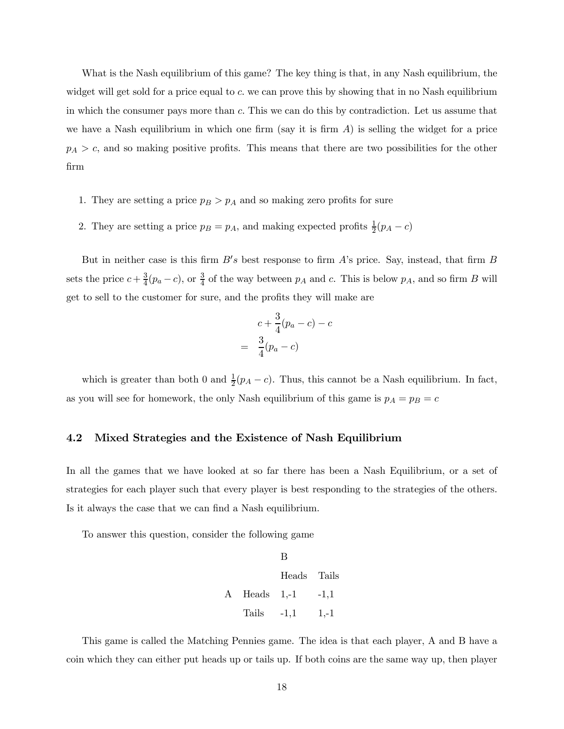What is the Nash equilibrium of this game? The key thing is that, in any Nash equilibrium, the widget will get sold for a price equal to  $c$ , we can prove this by showing that in no Nash equilibrium in which the consumer pays more than c. This we can do this by contradiction. Let us assume that we have a Nash equilibrium in which one firm (say it is firm  $A$ ) is selling the widget for a price  $p_A > c$ , and so making positive profits. This means that there are two possibilities for the other firm

- 1. They are setting a price  $p_B > p_A$  and so making zero profits for sure
- 2. They are setting a price  $p_B = p_A$ , and making expected profits  $\frac{1}{2}(p_A c)$

But in neither case is this firm  $B's$  best response to firm  $A's$  price. Say, instead, that firm  $B$ sets the price  $c + \frac{3}{4}(p_a - c)$ , or  $\frac{3}{4}$  of the way between  $p_A$  and c. This is below  $p_A$ , and so firm B will get to sell to the customer for sure, and the profits they will make are

$$
c + \frac{3}{4}(p_a - c) - c
$$

$$
= \frac{3}{4}(p_a - c)
$$

which is greater than both 0 and  $\frac{1}{2}(p_A - c)$ . Thus, this cannot be a Nash equilibrium. In fact, as you will see for homework, the only Nash equilibrium of this game is  $p_A = p_B = c$ 

### 4.2 Mixed Strategies and the Existence of Nash Equilibrium

In all the games that we have looked at so far there has been a Nash Equilibrium, or a set of strategies for each player such that every player is best responding to the strategies of the others. Is it always the case that we can find a Nash equilibrium.

To answer this question, consider the following game

|                    | В                 |        |
|--------------------|-------------------|--------|
|                    | Heads Tails       |        |
| $\rm A$ Heads 1,-1 |                   | $-1,1$ |
|                    | Tails $-1,1$ 1,-1 |        |

This game is called the Matching Pennies game. The idea is that each player, A and B have a coin which they can either put heads up or tails up. If both coins are the same way up, then player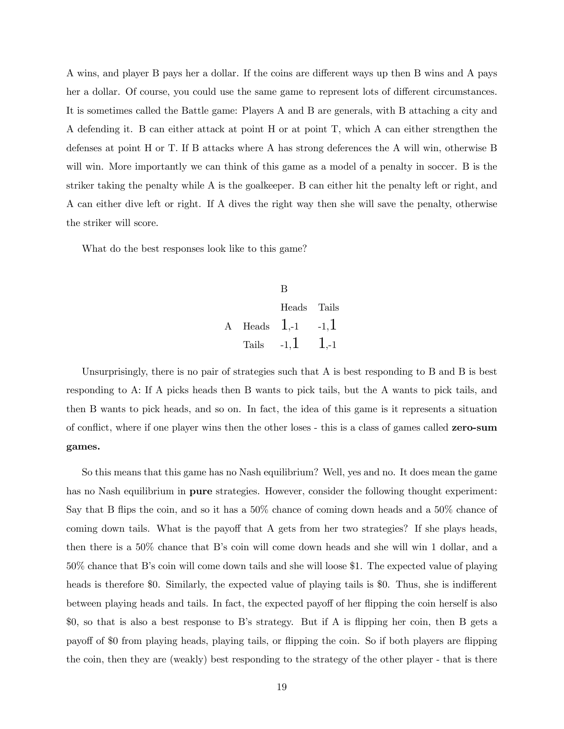A wins, and player B pays her a dollar. If the coins are different ways up then B wins and A pays her a dollar. Of course, you could use the same game to represent lots of different circumstances. It is sometimes called the Battle game: Players A and B are generals, with B attaching a city and A defending it. B can either attack at point H or at point T, which A can either strengthen the defenses at point H or T. If B attacks where A has strong deferences the A will win, otherwise B will win. More importantly we can think of this game as a model of a penalty in soccer. B is the striker taking the penalty while A is the goalkeeper. B can either hit the penalty left or right, and A can either dive left or right. If A dives the right way then she will save the penalty, otherwise the striker will score.

What do the best responses look like to this game?

B Heads Tails A Heads  $1.-1$   $-1,1$ Tails  $-1,1$  1,-1

Unsurprisingly, there is no pair of strategies such that A is best responding to B and B is best responding to A: If A picks heads then B wants to pick tails, but the A wants to pick tails, and then B wants to pick heads, and so on. In fact, the idea of this game is it represents a situation of conflict, where if one player wins then the other loses - this is a class of games called zero-sum games.

So this means that this game has no Nash equilibrium? Well, yes and no. It does mean the game has no Nash equilibrium in **pure** strategies. However, consider the following thought experiment: Say that B flips the coin, and so it has a 50% chance of coming down heads and a 50% chance of coming down tails. What is the payoff that A gets from her two strategies? If she plays heads, then there is a 50% chance that B's coin will come down heads and she will win 1 dollar, and a 50% chance that B's coin will come down tails and she will loose \$1. The expected value of playing heads is therefore \$0. Similarly, the expected value of playing tails is \$0. Thus, she is indifferent between playing heads and tails. In fact, the expected payoff of her flipping the coin herself is also \$0, so that is also a best response to B's strategy. But if A is flipping her coin, then B gets a payoff of \$0 from playing heads, playing tails, or flipping the coin. So if both players are flipping the coin, then they are (weakly) best responding to the strategy of the other player - that is there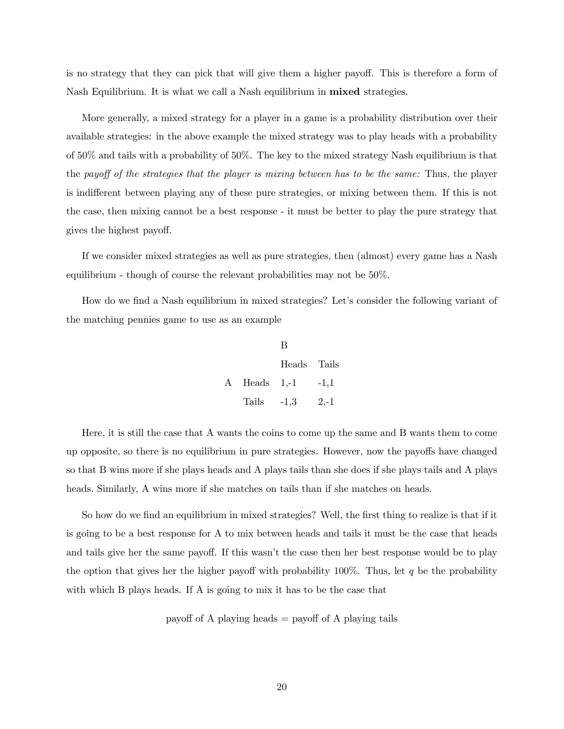is no strategy that they can pick that will give them a higher payoff. This is therefore a form of Nash Equilibrium. It is what we call a Nash equilibrium in mixed strategies.

More generally, a mixed strategy for a player in a game is a probability distribution over their available strategies: in the above example the mixed strategy was to play heads with a probability of 50% and tails with a probability of 50%. The key to the mixed strategy Nash equilibrium is that the payoff of the strategies that the player is mixing between has to be the same: Thus, the player is indifferent between playing any of these pure strategies, or mixing between them. If this is not the case, then mixing cannot be a best response - it must be better to play the pure strategy that gives the highest payoff.

If we consider mixed strategies as well as pure strategies, then (almost) every game has a Nash equilibrium - though of course the relevant probabilities may not be 50%.

How do we find a Nash equilibrium in mixed strategies? Let's consider the following variant of the matching pennies game to use as an example

|                    | В           |        |
|--------------------|-------------|--------|
|                    | Heads Tails |        |
| $\rm A$ Heads 1,-1 |             | $-1,1$ |
| Tails $-1,3$       |             | $2,-1$ |

Here, it is still the case that A wants the coins to come up the same and B wants them to come up opposite, so there is no equilibrium in pure strategies. However, now the payoffs have changed so that B wins more if she plays heads and A plays tails than she does if she plays tails and A plays heads. Similarly, A wins more if she matches on tails than if she matches on heads.

So how do we find an equilibrium in mixed strategies? Well, the first thing to realize is that if it is going to be a best response for A to mix between heads and tails it must be the case that heads and tails give her the same payoff. If this wasn't the case then her best response would be to play the option that gives her the higher payoff with probability 100%. Thus, let  $q$  be the probability with which B plays heads. If A is going to mix it has to be the case that

payoff of A playing heads = payoff of A playing tails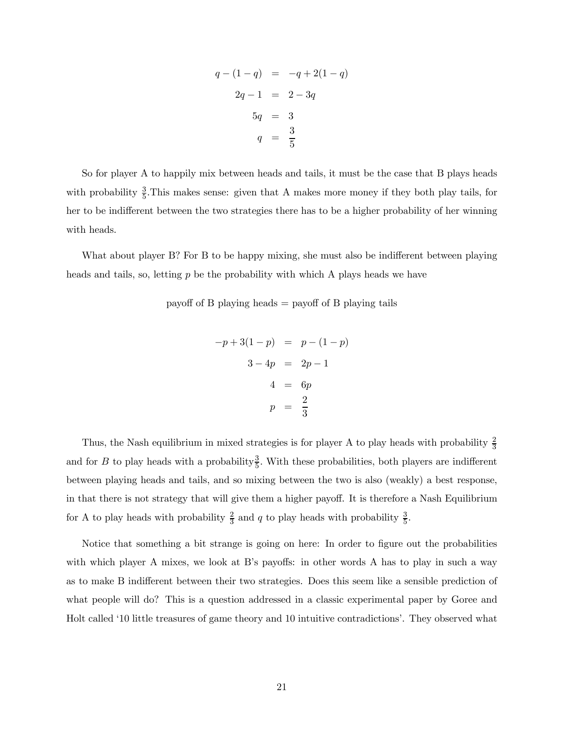$$
q - (1 - q) = -q + 2(1 - q)
$$
  
\n
$$
2q - 1 = 2 - 3q
$$
  
\n
$$
5q = 3
$$
  
\n
$$
q = \frac{3}{5}
$$

So for player A to happily mix between heads and tails, it must be the case that B plays heads with probability  $\frac{3}{5}$ . This makes sense: given that A makes more money if they both play tails, for her to be indifferent between the two strategies there has to be a higher probability of her winning with heads.

What about player B? For B to be happy mixing, she must also be indifferent between playing heads and tails, so, letting  $p$  be the probability with which A plays heads we have

payoff of B playing heads = payoff of B playing tails

$$
-p+3(1-p) = p - (1-p)
$$
  

$$
3-4p = 2p - 1
$$
  

$$
4 = 6p
$$
  

$$
p = \frac{2}{3}
$$

Thus, the Nash equilibrium in mixed strategies is for player A to play heads with probability  $\frac{2}{3}$ and for B to play heads with a probability  $\frac{3}{5}$ . With these probabilities, both players are indifferent between playing heads and tails, and so mixing between the two is also (weakly) a best response, in that there is not strategy that will give them a higher payoff. It is therefore a Nash Equilibrium for A to play heads with probability  $\frac{2}{3}$  and q to play heads with probability  $\frac{3}{5}$ .

Notice that something a bit strange is going on here: In order to figure out the probabilities with which player A mixes, we look at B's payoffs: in other words A has to play in such a way as to make B indifferent between their two strategies. Does this seem like a sensible prediction of what people will do? This is a question addressed in a classic experimental paper by Goree and Holt called '10 little treasures of game theory and 10 intuitive contradictions'. They observed what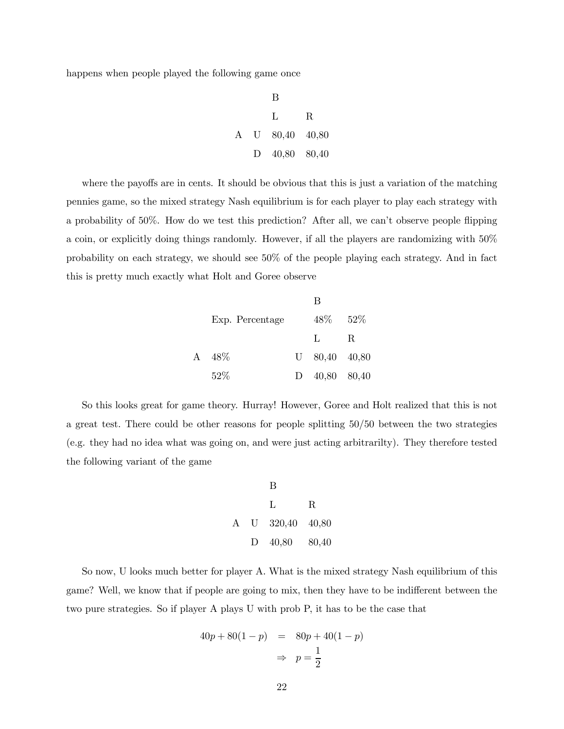happens when people played the following game once

B L R A U 80,40 40,80 D 40,80 80,40

where the payoffs are in cents. It should be obvious that this is just a variation of the matching pennies game, so the mixed strategy Nash equilibrium is for each player to play each strategy with a probability of 50%. How do we test this prediction? After all, we can't observe people flipping a coin, or explicitly doing things randomly. However, if all the players are randomizing with 50% probability on each strategy, we should see 50% of the people playing each strategy. And in fact this is pretty much exactly what Holt and Goree observe

|   |                 |              | R               |             |
|---|-----------------|--------------|-----------------|-------------|
|   | Exp. Percentage |              | 48%             | $52\%$      |
|   |                 |              | $\mathbf{L}$    | $\mathbf R$ |
| A | 48\%            |              | $U$ 80,40 40,80 |             |
|   | 52%             | $\mathbf{D}$ | 40,80 80,40     |             |

So this looks great for game theory. Hurray! However, Goree and Holt realized that this is not a great test. There could be other reasons for people splitting 50/50 between the two strategies (e.g. they had no idea what was going on, and were just acting arbitrarilty). They therefore tested the following variant of the game

B L R A U 320,40 40,80 D 40,80 80,40

So now, U looks much better for player A. What is the mixed strategy Nash equilibrium of this game? Well, we know that if people are going to mix, then they have to be indifferent between the two pure strategies. So if player A plays U with prob P, it has to be the case that

$$
40p + 80(1 - p) = 80p + 40(1 - p)
$$

$$
\Rightarrow p = \frac{1}{2}
$$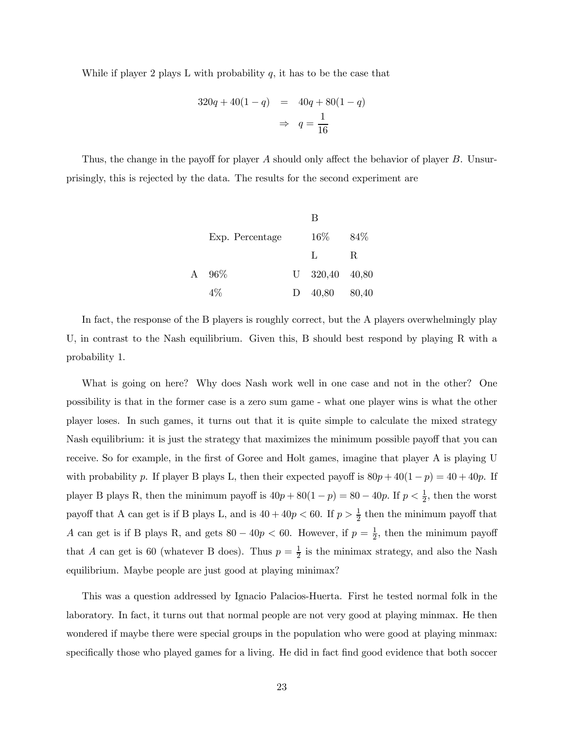While if player 2 plays L with probability  $q$ , it has to be the case that

$$
320q + 40(1 - q) = 40q + 80(1 - q)
$$

$$
\Rightarrow q = \frac{1}{16}
$$

Thus, the change in the payoff for player A should only affect the behavior of player  $B$ . Unsurprisingly, this is rejected by the data. The results for the second experiment are

|   |                 | В                |       |
|---|-----------------|------------------|-------|
|   | Exp. Percentage | $16\%$           | 84\%  |
|   |                 | L                | R     |
| A | $96\%$          | $U$ 320,40 40,80 |       |
|   | 4%              | 40,80            | 80,40 |

In fact, the response of the B players is roughly correct, but the A players overwhelmingly play U, in contrast to the Nash equilibrium. Given this, B should best respond by playing R with a probability 1.

What is going on here? Why does Nash work well in one case and not in the other? One possibility is that in the former case is a zero sum game - what one player wins is what the other player loses. In such games, it turns out that it is quite simple to calculate the mixed strategy Nash equilibrium: it is just the strategy that maximizes the minimum possible payoff that you can receive. So for example, in the first of Goree and Holt games, imagine that player A is playing U with probability p. If player B plays L, then their expected payoff is  $80p + 40(1 - p) = 40 + 40p$ . If player B plays R, then the minimum payoff is  $40p + 80(1 - p) = 80 - 40p$ . If  $p < \frac{1}{2}$ , then the worst payoff that A can get is if B plays L, and is  $40 + 40p < 60$ . If  $p > \frac{1}{2}$  then the minimum payoff that A can get is if B plays R, and gets  $80 - 40p < 60$ . However, if  $p = \frac{1}{2}$ , then the minimum payoff that A can get is 60 (whatever B does). Thus  $p = \frac{1}{2}$  is the minimax strategy, and also the Nash equilibrium. Maybe people are just good at playing minimax?

This was a question addressed by Ignacio Palacios-Huerta. First he tested normal folk in the laboratory. In fact, it turns out that normal people are not very good at playing minmax. He then wondered if maybe there were special groups in the population who were good at playing minmax: specifically those who played games for a living. He did in fact find good evidence that both soccer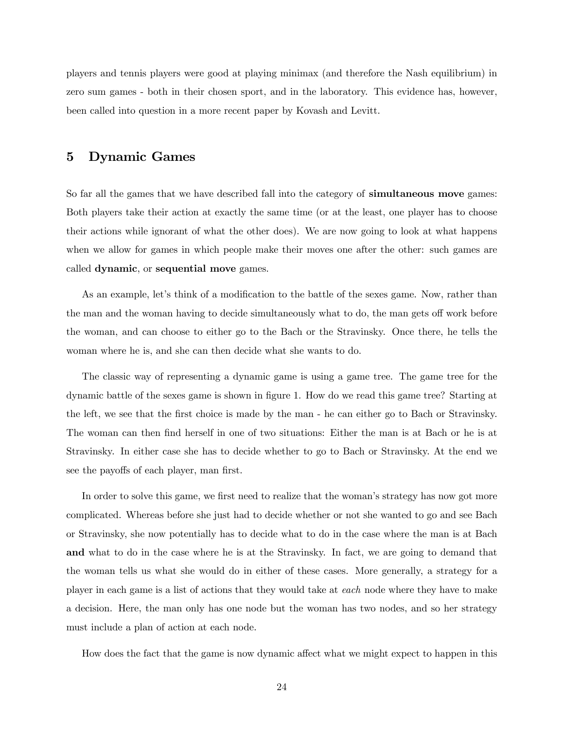players and tennis players were good at playing minimax (and therefore the Nash equilibrium) in zero sum games - both in their chosen sport, and in the laboratory. This evidence has, however, been called into question in a more recent paper by Kovash and Levitt.

## 5 Dynamic Games

So far all the games that we have described fall into the category of **simultaneous move** games: Both players take their action at exactly the same time (or at the least, one player has to choose their actions while ignorant of what the other does). We are now going to look at what happens when we allow for games in which people make their moves one after the other: such games are called dynamic, or sequential move games.

As an example, let's think of a modification to the battle of the sexes game. Now, rather than the man and the woman having to decide simultaneously what to do, the man gets off work before the woman, and can choose to either go to the Bach or the Stravinsky. Once there, he tells the woman where he is, and she can then decide what she wants to do.

The classic way of representing a dynamic game is using a game tree. The game tree for the dynamic battle of the sexes game is shown in figure 1. How do we read this game tree? Starting at the left, we see that the first choice is made by the man - he can either go to Bach or Stravinsky. The woman can then find herself in one of two situations: Either the man is at Bach or he is at Stravinsky. In either case she has to decide whether to go to Bach or Stravinsky. At the end we see the payoffs of each player, man first.

In order to solve this game, we first need to realize that the woman's strategy has now got more complicated. Whereas before she just had to decide whether or not she wanted to go and see Bach or Stravinsky, she now potentially has to decide what to do in the case where the man is at Bach and what to do in the case where he is at the Stravinsky. In fact, we are going to demand that the woman tells us what she would do in either of these cases. More generally, a strategy for a player in each game is a list of actions that they would take at each node where they have to make a decision. Here, the man only has one node but the woman has two nodes, and so her strategy must include a plan of action at each node.

How does the fact that the game is now dynamic affect what we might expect to happen in this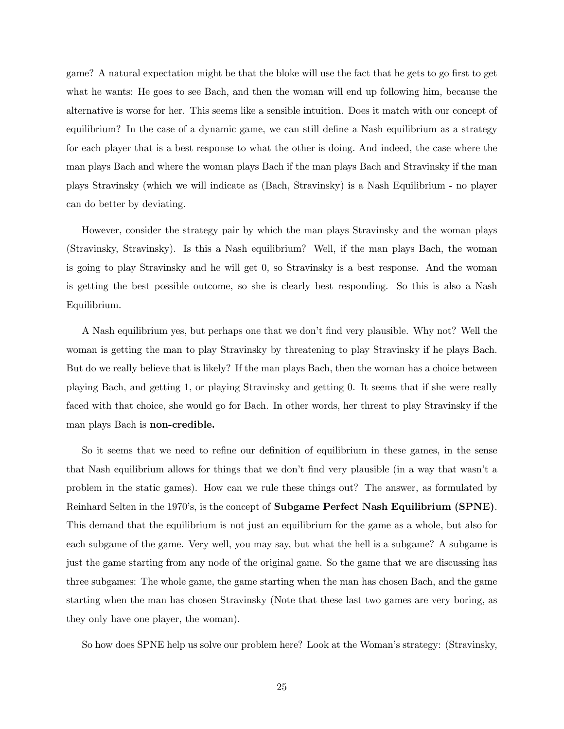game? A natural expectation might be that the bloke will use the fact that he gets to go first to get what he wants: He goes to see Bach, and then the woman will end up following him, because the alternative is worse for her. This seems like a sensible intuition. Does it match with our concept of equilibrium? In the case of a dynamic game, we can still define a Nash equilibrium as a strategy for each player that is a best response to what the other is doing. And indeed, the case where the man plays Bach and where the woman plays Bach if the man plays Bach and Stravinsky if the man plays Stravinsky (which we will indicate as (Bach, Stravinsky) is a Nash Equilibrium - no player can do better by deviating.

However, consider the strategy pair by which the man plays Stravinsky and the woman plays (Stravinsky, Stravinsky). Is this a Nash equilibrium? Well, if the man plays Bach, the woman is going to play Stravinsky and he will get 0, so Stravinsky is a best response. And the woman is getting the best possible outcome, so she is clearly best responding. So this is also a Nash Equilibrium.

A Nash equilibrium yes, but perhaps one that we don't find very plausible. Why not? Well the woman is getting the man to play Stravinsky by threatening to play Stravinsky if he plays Bach. But do we really believe that is likely? If the man plays Bach, then the woman has a choice between playing Bach, and getting 1, or playing Stravinsky and getting 0. It seems that if she were really faced with that choice, she would go for Bach. In other words, her threat to play Stravinsky if the man plays Bach is non-credible.

So it seems that we need to refine our definition of equilibrium in these games, in the sense that Nash equilibrium allows for things that we don't find very plausible (in a way that wasn't a problem in the static games). How can we rule these things out? The answer, as formulated by Reinhard Selten in the 1970's, is the concept of Subgame Perfect Nash Equilibrium (SPNE). This demand that the equilibrium is not just an equilibrium for the game as a whole, but also for each subgame of the game. Very well, you may say, but what the hell is a subgame? A subgame is just the game starting from any node of the original game. So the game that we are discussing has three subgames: The whole game, the game starting when the man has chosen Bach, and the game starting when the man has chosen Stravinsky (Note that these last two games are very boring, as they only have one player, the woman).

So how does SPNE help us solve our problem here? Look at the Woman's strategy: (Stravinsky,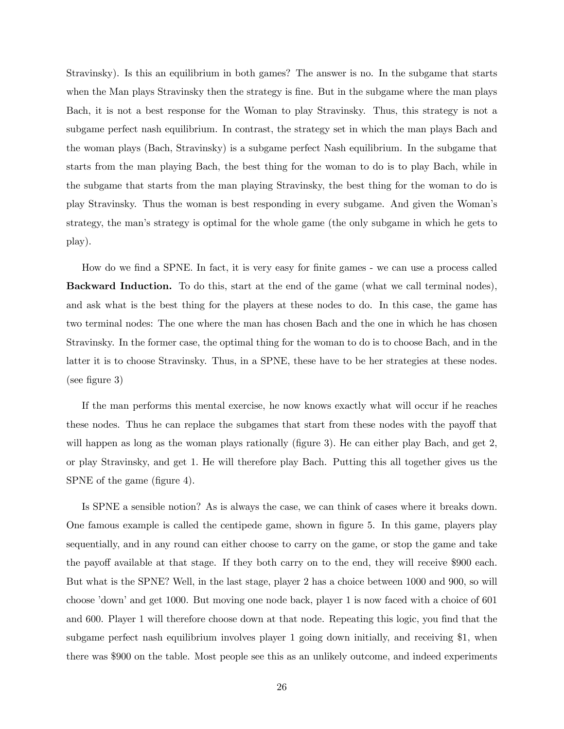Stravinsky). Is this an equilibrium in both games? The answer is no. In the subgame that starts when the Man plays Stravinsky then the strategy is fine. But in the subgame where the man plays Bach, it is not a best response for the Woman to play Stravinsky. Thus, this strategy is not a subgame perfect nash equilibrium. In contrast, the strategy set in which the man plays Bach and the woman plays (Bach, Stravinsky) is a subgame perfect Nash equilibrium. In the subgame that starts from the man playing Bach, the best thing for the woman to do is to play Bach, while in the subgame that starts from the man playing Stravinsky, the best thing for the woman to do is play Stravinsky. Thus the woman is best responding in every subgame. And given the Woman's strategy, the man's strategy is optimal for the whole game (the only subgame in which he gets to play).

How do we find a SPNE. In fact, it is very easy for finite games - we can use a process called Backward Induction. To do this, start at the end of the game (what we call terminal nodes), and ask what is the best thing for the players at these nodes to do. In this case, the game has two terminal nodes: The one where the man has chosen Bach and the one in which he has chosen Stravinsky. In the former case, the optimal thing for the woman to do is to choose Bach, and in the latter it is to choose Stravinsky. Thus, in a SPNE, these have to be her strategies at these nodes. (see figure 3)

If the man performs this mental exercise, he now knows exactly what will occur if he reaches these nodes. Thus he can replace the subgames that start from these nodes with the payoff that will happen as long as the woman plays rationally (figure 3). He can either play Bach, and get 2, or play Stravinsky, and get 1. He will therefore play Bach. Putting this all together gives us the SPNE of the game (figure 4).

Is SPNE a sensible notion? As is always the case, we can think of cases where it breaks down. One famous example is called the centipede game, shown in figure 5. In this game, players play sequentially, and in any round can either choose to carry on the game, or stop the game and take the payoff available at that stage. If they both carry on to the end, they will receive \$900 each. But what is the SPNE? Well, in the last stage, player 2 has a choice between 1000 and 900, so will choose 'down' and get 1000. But moving one node back, player 1 is now faced with a choice of 601 and 600. Player 1 will therefore choose down at that node. Repeating this logic, you find that the subgame perfect nash equilibrium involves player 1 going down initially, and receiving \$1, when there was \$900 on the table. Most people see this as an unlikely outcome, and indeed experiments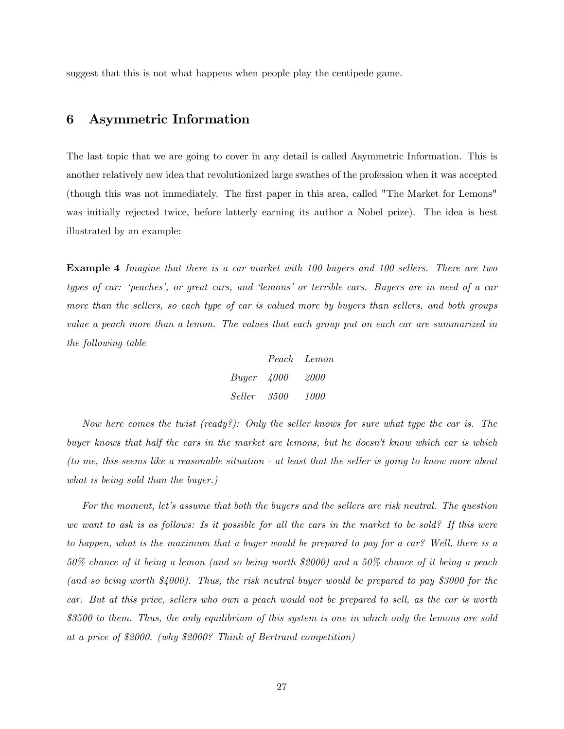suggest that this is not what happens when people play the centipede game.

### 6 Asymmetric Information

The last topic that we are going to cover in any detail is called Asymmetric Information. This is another relatively new idea that revolutionized large swathes of the profession when it was accepted (though this was not immediately. The first paper in this area, called "The Market for Lemons" was initially rejected twice, before latterly earning its author a Nobel prize). The idea is best illustrated by an example:

Example 4 Imagine that there is a car market with 100 buyers and 100 sellers. There are two types of car: 'peaches', or great cars, and 'lemons' or terrible cars. Buyers are in need of a car more than the sellers, so each type of car is valued more by buyers than sellers, and both groups value a peach more than a lemon. The values that each group put on each car are summarized in the following table

|            |      | Peach Lemon |
|------------|------|-------------|
| Buyer 4000 |      | 2000        |
| Seller     | 3500 | 1000        |

Now here comes the twist (ready?): Only the seller knows for sure what type the car is. The buyer knows that half the cars in the market are lemons, but he doesn't know which car is which (to me, this seems like a reasonable situation - at least that the seller is going to know more about what is being sold than the buyer.)

For the moment, let's assume that both the buyers and the sellers are risk neutral. The question we want to ask is as follows: Is it possible for all the cars in the market to be sold? If this were to happen, what is the maximum that a buyer would be prepared to pay for a car? Well, there is a 50% chance of it being a lemon (and so being worth \$2000) and a 50% chance of it being a peach (and so being worth \$4000). Thus, the risk neutral buyer would be prepared to pay \$3000 for the car. But at this price, sellers who own a peach would not be prepared to sell, as the car is worth \$3500 to them. Thus, the only equilibrium of this system is one in which only the lemons are sold at a price of \$2000. (why \$2000? Think of Bertrand competition)